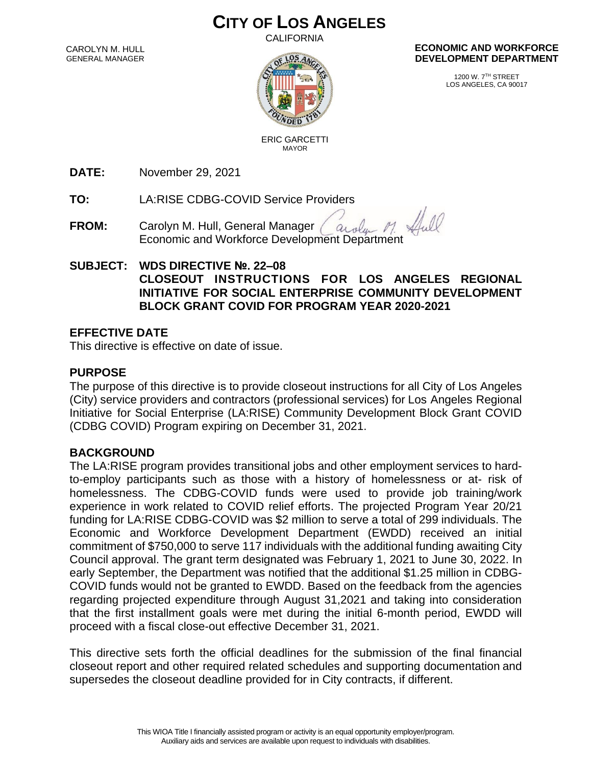# **CITY OF LOS ANGELES**

CALIFORNIA

CAROLYN M. HULL GENERAL MANAGER



#### **ECONOMIC AND WORKFORCE DEVELOPMENT DEPARTMENT**

1200 W. 7TH STREET LOS ANGELES, CA 90017

 ERIC GARCETTI MAYOR

**DATE:** November 29, 2021

**TO:** LA:RISE CDBG-COVID Service Providers

- **FROM:** Carolyn M. Hull, General Manager aroly Economic and Workforce Development Department
- **SUBJECT: WDS DIRECTIVE №. 22–08 CLOSEOUT INSTRUCTIONS FOR LOS ANGELES REGIONAL INITIATIVE FOR SOCIAL ENTERPRISE COMMUNITY DEVELOPMENT BLOCK GRANT COVID FOR PROGRAM YEAR 2020-2021**

### **EFFECTIVE DATE**

This directive is effective on date of issue.

# **PURPOSE**

The purpose of this directive is to provide closeout instructions for all City of Los Angeles (City) service providers and contractors (professional services) for Los Angeles Regional Initiative for Social Enterprise (LA:RISE) Community Development Block Grant COVID (CDBG COVID) Program expiring on December 31, 2021.

### **BACKGROUND**

The LA:RISE program provides transitional jobs and other employment services to hardto-employ participants such as those with a history of homelessness or at- risk of homelessness. The CDBG-COVID funds were used to provide job training/work experience in work related to COVID relief efforts. The projected Program Year 20/21 funding for LA:RISE CDBG-COVID was \$2 million to serve a total of 299 individuals. The Economic and Workforce Development Department (EWDD) received an initial commitment of \$750,000 to serve 117 individuals with the additional funding awaiting City Council approval. The grant term designated was February 1, 2021 to June 30, 2022. In early September, the Department was notified that the additional \$1.25 million in CDBG-COVID funds would not be granted to EWDD. Based on the feedback from the agencies regarding projected expenditure through August 31,2021 and taking into consideration that the first installment goals were met during the initial 6-month period, EWDD will proceed with a fiscal close-out effective December 31, 2021.

This directive sets forth the official deadlines for the submission of the final financial closeout report and other required related schedules and supporting documentation and supersedes the closeout deadline provided for in City contracts, if different.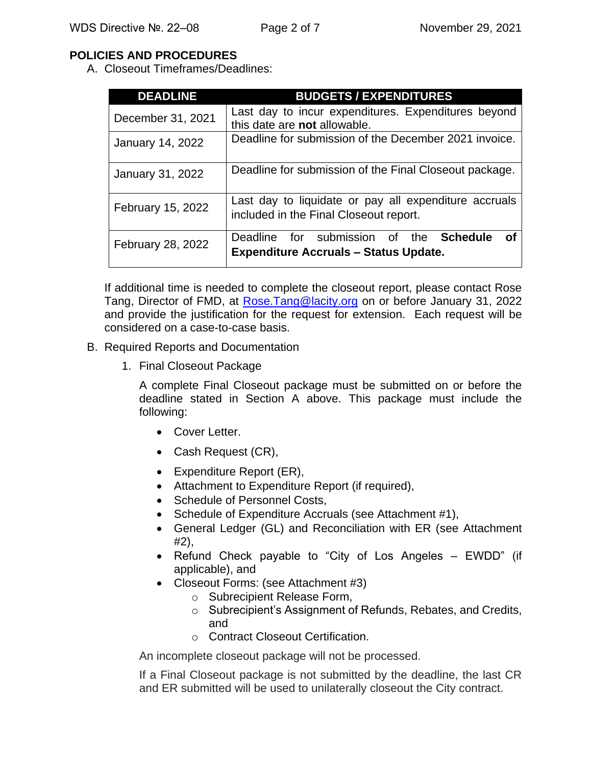# **POLICIES AND PROCEDURES**

A. Closeout Timeframes/Deadlines:

| <b>DEADLINE</b>   | <b>BUDGETS / EXPENDITURES</b>                                                                           |
|-------------------|---------------------------------------------------------------------------------------------------------|
| December 31, 2021 | Last day to incur expenditures. Expenditures beyond<br>this date are not allowable.                     |
| January 14, 2022  | Deadline for submission of the December 2021 invoice.                                                   |
| January 31, 2022  | Deadline for submission of the Final Closeout package.                                                  |
| February 15, 2022 | Last day to liquidate or pay all expenditure accruals<br>included in the Final Closeout report.         |
| February 28, 2022 | Deadline for submission of the<br><b>Schedule</b><br>οf<br><b>Expenditure Accruals - Status Update.</b> |

If additional time is needed to complete the closeout report, please contact Rose Tang, Director of FMD, at [Rose.Tang@lacity.org](mailto:Rose.Tang@lacity.org) on or before January 31, 2022 and provide the justification for the request for extension. Each request will be considered on a case-to-case basis.

- B. Required Reports and Documentation
	- 1. Final Closeout Package

A complete Final Closeout package must be submitted on or before the deadline stated in Section A above. This package must include the following:

- Cover Letter.
- Cash Request (CR),
- Expenditure Report (ER),
- Attachment to Expenditure Report (if required),
- Schedule of Personnel Costs,
- Schedule of Expenditure Accruals (see Attachment #1),
- General Ledger (GL) and Reconciliation with ER (see Attachment #2),
- Refund Check payable to "City of Los Angeles EWDD" (if applicable), and
- Closeout Forms: (see Attachment #3)
	- o Subrecipient Release Form,
	- o Subrecipient's Assignment of Refunds, Rebates, and Credits, and
	- o Contract Closeout Certification.

An incomplete closeout package will not be processed.

If a Final Closeout package is not submitted by the deadline, the last CR and ER submitted will be used to unilaterally closeout the City contract.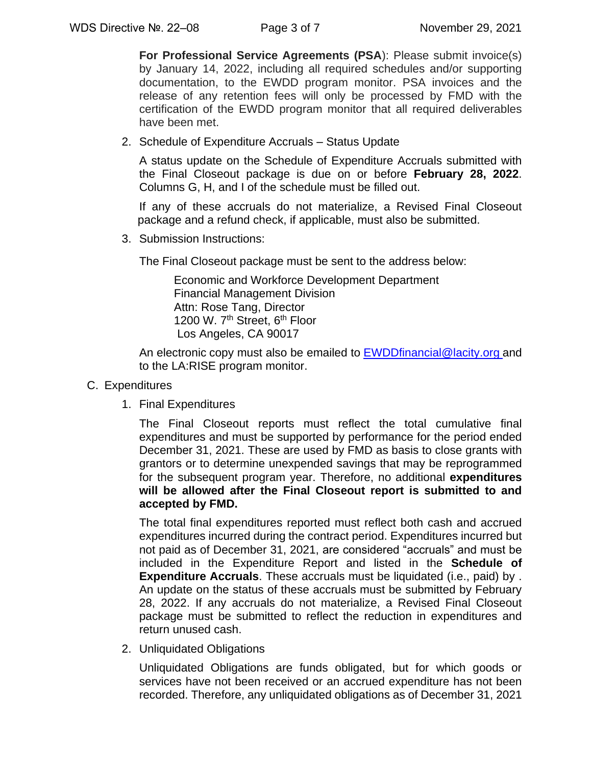**For Professional Service Agreements (PSA**): Please submit invoice(s) by January 14, 2022, including all required schedules and/or supporting documentation, to the EWDD program monitor. PSA invoices and the release of any retention fees will only be processed by FMD with the certification of the EWDD program monitor that all required deliverables have been met.

2. Schedule of Expenditure Accruals – Status Update

A status update on the Schedule of Expenditure Accruals submitted with the Final Closeout package is due on or before **February 28, 2022**. Columns G, H, and I of the schedule must be filled out.

If any of these accruals do not materialize, a Revised Final Closeout package and a refund check, if applicable, must also be submitted.

3. Submission Instructions:

The Final Closeout package must be sent to the address below:

Economic and Workforce Development Department Financial Management Division Attn: Rose Tang, Director 1200 W. 7<sup>th</sup> Street, 6<sup>th</sup> Floor Los Angeles, CA 90017

An electronic copy must also be emailed to [EWDDfinancial@lacity.org](mailto:EWDDfinancial@lacity.org) and to the LA:RISE program monitor.

#### C. Expenditures

1. Final Expenditures

The Final Closeout reports must reflect the total cumulative final expenditures and must be supported by performance for the period ended December 31, 2021. These are used by FMD as basis to close grants with grantors or to determine unexpended savings that may be reprogrammed for the subsequent program year. Therefore, no additional **expenditures will be allowed after the Final Closeout report is submitted to and accepted by FMD.**

The total final expenditures reported must reflect both cash and accrued expenditures incurred during the contract period. Expenditures incurred but not paid as of December 31, 2021, are considered "accruals" and must be included in the Expenditure Report and listed in the **Schedule of Expenditure Accruals**. These accruals must be liquidated (i.e., paid) by . An update on the status of these accruals must be submitted by February 28, 2022. If any accruals do not materialize, a Revised Final Closeout package must be submitted to reflect the reduction in expenditures and return unused cash.

2. Unliquidated Obligations

Unliquidated Obligations are funds obligated, but for which goods or services have not been received or an accrued expenditure has not been recorded. Therefore, any unliquidated obligations as of December 31, 2021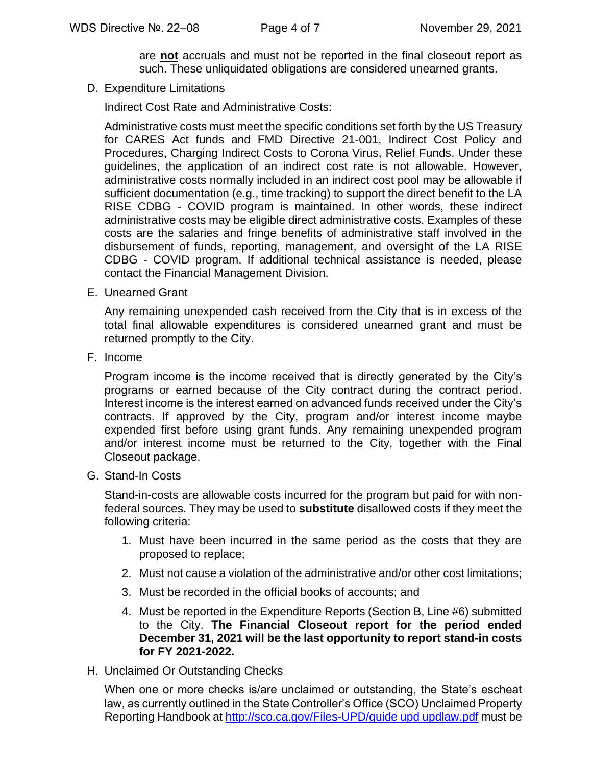are **not** accruals and must not be reported in the final closeout report as such. These unliquidated obligations are considered unearned grants.

D. Expenditure Limitations

Indirect Cost Rate and Administrative Costs:

Administrative costs must meet the specific conditions set forth by the US Treasury for CARES Act funds and FMD Directive 21-001, Indirect Cost Policy and Procedures, Charging Indirect Costs to Corona Virus, Relief Funds. Under these guidelines, the application of an indirect cost rate is not allowable. However, administrative costs normally included in an indirect cost pool may be allowable if sufficient documentation (e.g., time tracking) to support the direct benefit to the LA RISE CDBG - COVID program is maintained. In other words, these indirect administrative costs may be eligible direct administrative costs. Examples of these costs are the salaries and fringe benefits of administrative staff involved in the disbursement of funds, reporting, management, and oversight of the LA RISE CDBG - COVID program. If additional technical assistance is needed, please contact the Financial Management Division.

E. Unearned Grant

Any remaining unexpended cash received from the City that is in excess of the total final allowable expenditures is considered unearned grant and must be returned promptly to the City.

F. Income

Program income is the income received that is directly generated by the City's programs or earned because of the City contract during the contract period. Interest income is the interest earned on advanced funds received under the City's contracts. If approved by the City, program and/or interest income maybe expended first before using grant funds. Any remaining unexpended program and/or interest income must be returned to the City, together with the Final Closeout package.

G. Stand-In Costs

Stand-in-costs are allowable costs incurred for the program but paid for with nonfederal sources. They may be used to **substitute** disallowed costs if they meet the following criteria:

- 1. Must have been incurred in the same period as the costs that they are proposed to replace;
- 2. Must not cause a violation of the administrative and/or other cost limitations;
- 3. Must be recorded in the official books of accounts; and
- 4. Must be reported in the Expenditure Reports (Section B, Line #6) submitted to the City. **The Financial Closeout report for the period ended December 31, 2021 will be the last opportunity to report stand-in costs for FY 2021-2022.**
- H. Unclaimed Or Outstanding Checks

When one or more checks is/are unclaimed or outstanding, the State's escheat law, as currently outlined in the State Controller's Office (SCO) Unclaimed Property Reporting Handbook at [http://sco.ca.gov/Files-UPD/guide upd updlaw.pdf](http://sco.ca.gov/Files-UPD/guide%20upd%20updlaw.pdf) must be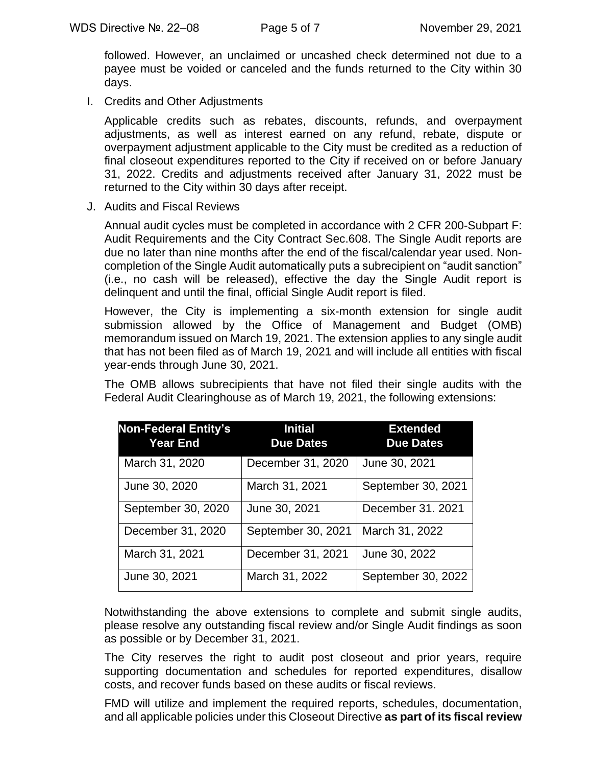followed. However, an unclaimed or uncashed check determined not due to a payee must be voided or canceled and the funds returned to the City within 30 days.

I. Credits and Other Adjustments

Applicable credits such as rebates, discounts, refunds, and overpayment adjustments, as well as interest earned on any refund, rebate, dispute or overpayment adjustment applicable to the City must be credited as a reduction of final closeout expenditures reported to the City if received on or before January 31, 2022. Credits and adjustments received after January 31, 2022 must be returned to the City within 30 days after receipt.

J. Audits and Fiscal Reviews

Annual audit cycles must be completed in accordance with 2 CFR 200-Subpart F: Audit Requirements and the City Contract Sec.608. The Single Audit reports are due no later than nine months after the end of the fiscal/calendar year used. Noncompletion of the Single Audit automatically puts a subrecipient on "audit sanction" (i.e., no cash will be released), effective the day the Single Audit report is delinquent and until the final, official Single Audit report is filed.

However, the City is implementing a six-month extension for single audit submission allowed by the Office of Management and Budget (OMB) memorandum issued on March 19, 2021. The extension applies to any single audit that has not been filed as of March 19, 2021 and will include all entities with fiscal year-ends through June 30, 2021.

The OMB allows subrecipients that have not filed their single audits with the Federal Audit Clearinghouse as of March 19, 2021, the following extensions:

| <b>Non-Federal Entity's</b><br><b>Year End</b> | <b>Initial</b><br><b>Due Dates</b> | <b>Extended</b><br><b>Due Dates</b> |
|------------------------------------------------|------------------------------------|-------------------------------------|
| March 31, 2020                                 | December 31, 2020                  | June 30, 2021                       |
| June 30, 2020                                  | March 31, 2021                     | September 30, 2021                  |
| September 30, 2020                             | June 30, 2021                      | December 31. 2021                   |
| December 31, 2020                              | September 30, 2021                 | March 31, 2022                      |
| March 31, 2021                                 | December 31, 2021                  | June 30, 2022                       |
| June 30, 2021                                  | March 31, 2022                     | September 30, 2022                  |

Notwithstanding the above extensions to complete and submit single audits, please resolve any outstanding fiscal review and/or Single Audit findings as soon as possible or by December 31, 2021.

The City reserves the right to audit post closeout and prior years, require supporting documentation and schedules for reported expenditures, disallow costs, and recover funds based on these audits or fiscal reviews.

FMD will utilize and implement the required reports, schedules, documentation, and all applicable policies under this Closeout Directive **as part of its fiscal review**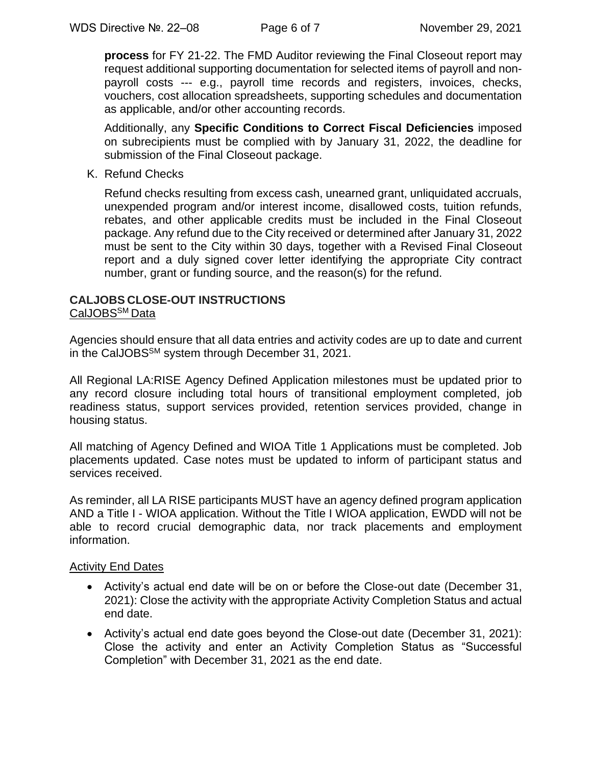**process** for FY 21-22. The FMD Auditor reviewing the Final Closeout report may request additional supporting documentation for selected items of payroll and nonpayroll costs --- e.g., payroll time records and registers, invoices, checks, vouchers, cost allocation spreadsheets, supporting schedules and documentation as applicable, and/or other accounting records.

Additionally, any **Specific Conditions to Correct Fiscal Deficiencies** imposed on subrecipients must be complied with by January 31, 2022, the deadline for submission of the Final Closeout package.

K. Refund Checks

Refund checks resulting from excess cash, unearned grant, unliquidated accruals, unexpended program and/or interest income, disallowed costs, tuition refunds, rebates, and other applicable credits must be included in the Final Closeout package. Any refund due to the City received or determined after January 31, 2022 must be sent to the City within 30 days, together with a Revised Final Closeout report and a duly signed cover letter identifying the appropriate City contract number, grant or funding source, and the reason(s) for the refund.

#### **CALJOBS CLOSE-OUT INSTRUCTIONS** CalJOBS<sup>SM</sup> Data

Agencies should ensure that all data entries and activity codes are up to date and current in the CalJOBSSM system through December 31, 2021.

All Regional LA:RISE Agency Defined Application milestones must be updated prior to any record closure including total hours of transitional employment completed, job readiness status, support services provided, retention services provided, change in housing status.

All matching of Agency Defined and WIOA Title 1 Applications must be completed. Job placements updated. Case notes must be updated to inform of participant status and services received.

As reminder, all LA RISE participants MUST have an agency defined program application AND a Title I - WIOA application. Without the Title I WIOA application, EWDD will not be able to record crucial demographic data, nor track placements and employment information.

### Activity End Dates

- Activity's actual end date will be on or before the Close-out date (December 31, 2021): Close the activity with the appropriate Activity Completion Status and actual end date.
- Activity's actual end date goes beyond the Close-out date (December 31, 2021): Close the activity and enter an Activity Completion Status as "Successful Completion" with December 31, 2021 as the end date.